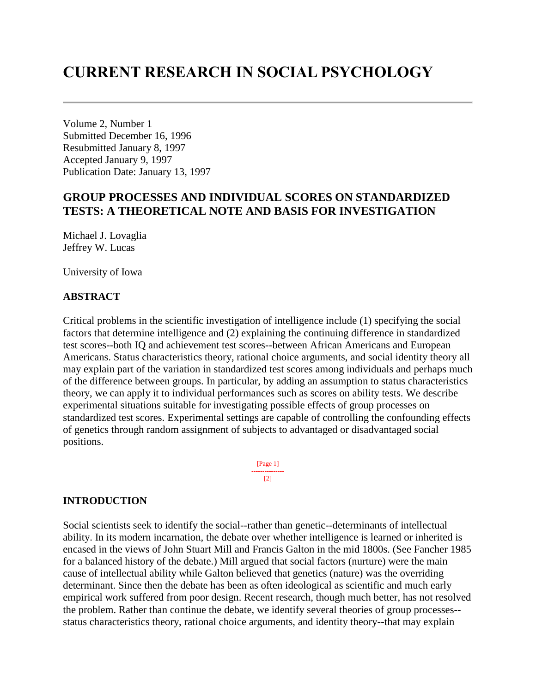# **CURRENT RESEARCH IN SOCIAL PSYCHOLOGY**

Volume 2, Number 1 Submitted December 16, 1996 Resubmitted January 8, 1997 Accepted January 9, 1997 Publication Date: January 13, 1997

# **GROUP PROCESSES AND INDIVIDUAL SCORES ON STANDARDIZED TESTS: A THEORETICAL NOTE AND BASIS FOR INVESTIGATION**

Michael J. Lovaglia Jeffrey W. Lucas

University of Iowa

#### **ABSTRACT**

Critical problems in the scientific investigation of intelligence include (1) specifying the social factors that determine intelligence and (2) explaining the continuing difference in standardized test scores--both IQ and achievement test scores--between African Americans and European Americans. Status characteristics theory, rational choice arguments, and social identity theory all may explain part of the variation in standardized test scores among individuals and perhaps much of the difference between groups. In particular, by adding an assumption to status characteristics theory, we can apply it to individual performances such as scores on ability tests. We describe experimental situations suitable for investigating possible effects of group processes on standardized test scores. Experimental settings are capable of controlling the confounding effects of genetics through random assignment of subjects to advantaged or disadvantaged social positions.

> [Page 1] ---------------  $[2]$

### **INTRODUCTION**

Social scientists seek to identify the social--rather than genetic--determinants of intellectual ability. In its modern incarnation, the debate over whether intelligence is learned or inherited is encased in the views of John Stuart Mill and Francis Galton in the mid 1800s. (See Fancher 1985 for a balanced history of the debate.) Mill argued that social factors (nurture) were the main cause of intellectual ability while Galton believed that genetics (nature) was the overriding determinant. Since then the debate has been as often ideological as scientific and much early empirical work suffered from poor design. Recent research, though much better, has not resolved the problem. Rather than continue the debate, we identify several theories of group processes- status characteristics theory, rational choice arguments, and identity theory--that may explain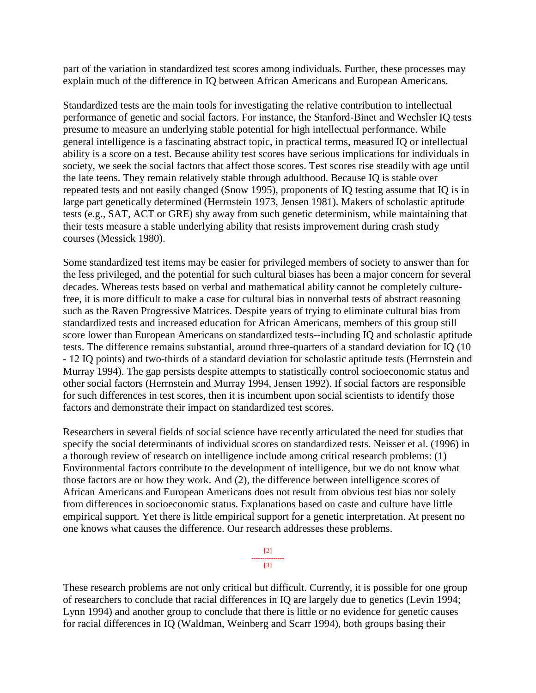part of the variation in standardized test scores among individuals. Further, these processes may explain much of the difference in IQ between African Americans and European Americans.

Standardized tests are the main tools for investigating the relative contribution to intellectual performance of genetic and social factors. For instance, the Stanford-Binet and Wechsler IQ tests presume to measure an underlying stable potential for high intellectual performance. While general intelligence is a fascinating abstract topic, in practical terms, measured IQ or intellectual ability is a score on a test. Because ability test scores have serious implications for individuals in society, we seek the social factors that affect those scores. Test scores rise steadily with age until the late teens. They remain relatively stable through adulthood. Because IQ is stable over repeated tests and not easily changed (Snow 1995), proponents of IQ testing assume that IQ is in large part genetically determined (Herrnstein 1973, Jensen 1981). Makers of scholastic aptitude tests (e.g., SAT, ACT or GRE) shy away from such genetic determinism, while maintaining that their tests measure a stable underlying ability that resists improvement during crash study courses (Messick 1980).

Some standardized test items may be easier for privileged members of society to answer than for the less privileged, and the potential for such cultural biases has been a major concern for several decades. Whereas tests based on verbal and mathematical ability cannot be completely culturefree, it is more difficult to make a case for cultural bias in nonverbal tests of abstract reasoning such as the Raven Progressive Matrices. Despite years of trying to eliminate cultural bias from standardized tests and increased education for African Americans, members of this group still score lower than European Americans on standardized tests--including IQ and scholastic aptitude tests. The difference remains substantial, around three-quarters of a standard deviation for IQ (10 - 12 IQ points) and two-thirds of a standard deviation for scholastic aptitude tests (Herrnstein and Murray 1994). The gap persists despite attempts to statistically control socioeconomic status and other social factors (Herrnstein and Murray 1994, Jensen 1992). If social factors are responsible for such differences in test scores, then it is incumbent upon social scientists to identify those factors and demonstrate their impact on standardized test scores.

Researchers in several fields of social science have recently articulated the need for studies that specify the social determinants of individual scores on standardized tests. Neisser et al. (1996) in a thorough review of research on intelligence include among critical research problems: (1) Environmental factors contribute to the development of intelligence, but we do not know what those factors are or how they work. And (2), the difference between intelligence scores of African Americans and European Americans does not result from obvious test bias nor solely from differences in socioeconomic status. Explanations based on caste and culture have little empirical support. Yet there is little empirical support for a genetic interpretation. At present no one knows what causes the difference. Our research addresses these problems.



These research problems are not only critical but difficult. Currently, it is possible for one group of researchers to conclude that racial differences in IQ are largely due to genetics (Levin 1994; Lynn 1994) and another group to conclude that there is little or no evidence for genetic causes for racial differences in IQ (Waldman, Weinberg and Scarr 1994), both groups basing their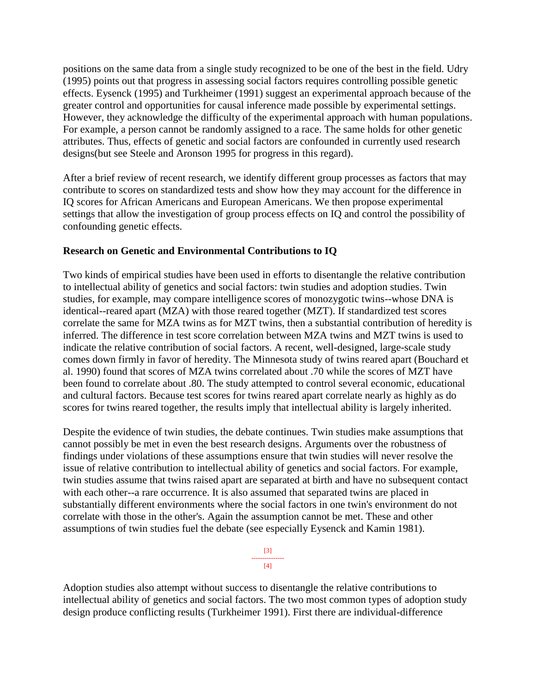positions on the same data from a single study recognized to be one of the best in the field. Udry (1995) points out that progress in assessing social factors requires controlling possible genetic effects. Eysenck (1995) and Turkheimer (1991) suggest an experimental approach because of the greater control and opportunities for causal inference made possible by experimental settings. However, they acknowledge the difficulty of the experimental approach with human populations. For example, a person cannot be randomly assigned to a race. The same holds for other genetic attributes. Thus, effects of genetic and social factors are confounded in currently used research designs(but see Steele and Aronson 1995 for progress in this regard).

After a brief review of recent research, we identify different group processes as factors that may contribute to scores on standardized tests and show how they may account for the difference in IQ scores for African Americans and European Americans. We then propose experimental settings that allow the investigation of group process effects on IQ and control the possibility of confounding genetic effects.

## **Research on Genetic and Environmental Contributions to IQ**

Two kinds of empirical studies have been used in efforts to disentangle the relative contribution to intellectual ability of genetics and social factors: twin studies and adoption studies. Twin studies, for example, may compare intelligence scores of monozygotic twins--whose DNA is identical--reared apart (MZA) with those reared together (MZT). If standardized test scores correlate the same for MZA twins as for MZT twins, then a substantial contribution of heredity is inferred. The difference in test score correlation between MZA twins and MZT twins is used to indicate the relative contribution of social factors. A recent, well-designed, large-scale study comes down firmly in favor of heredity. The Minnesota study of twins reared apart (Bouchard et al. 1990) found that scores of MZA twins correlated about .70 while the scores of MZT have been found to correlate about .80. The study attempted to control several economic, educational and cultural factors. Because test scores for twins reared apart correlate nearly as highly as do scores for twins reared together, the results imply that intellectual ability is largely inherited.

Despite the evidence of twin studies, the debate continues. Twin studies make assumptions that cannot possibly be met in even the best research designs. Arguments over the robustness of findings under violations of these assumptions ensure that twin studies will never resolve the issue of relative contribution to intellectual ability of genetics and social factors. For example, twin studies assume that twins raised apart are separated at birth and have no subsequent contact with each other--a rare occurrence. It is also assumed that separated twins are placed in substantially different environments where the social factors in one twin's environment do not correlate with those in the other's. Again the assumption cannot be met. These and other assumptions of twin studies fuel the debate (see especially Eysenck and Kamin 1981).



Adoption studies also attempt without success to disentangle the relative contributions to intellectual ability of genetics and social factors. The two most common types of adoption study design produce conflicting results (Turkheimer 1991). First there are individual-difference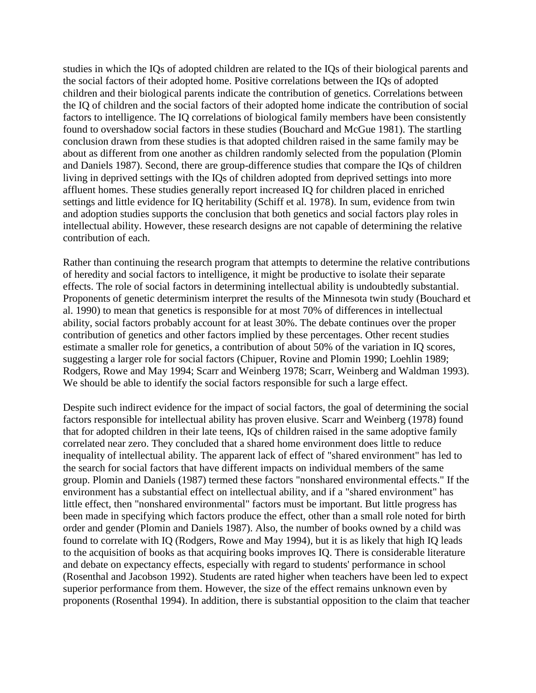studies in which the IQs of adopted children are related to the IQs of their biological parents and the social factors of their adopted home. Positive correlations between the IQs of adopted children and their biological parents indicate the contribution of genetics. Correlations between the IQ of children and the social factors of their adopted home indicate the contribution of social factors to intelligence. The IQ correlations of biological family members have been consistently found to overshadow social factors in these studies (Bouchard and McGue 1981). The startling conclusion drawn from these studies is that adopted children raised in the same family may be about as different from one another as children randomly selected from the population (Plomin and Daniels 1987). Second, there are group-difference studies that compare the IQs of children living in deprived settings with the IQs of children adopted from deprived settings into more affluent homes. These studies generally report increased IQ for children placed in enriched settings and little evidence for IQ heritability (Schiff et al. 1978). In sum, evidence from twin and adoption studies supports the conclusion that both genetics and social factors play roles in intellectual ability. However, these research designs are not capable of determining the relative contribution of each.

Rather than continuing the research program that attempts to determine the relative contributions of heredity and social factors to intelligence, it might be productive to isolate their separate effects. The role of social factors in determining intellectual ability is undoubtedly substantial. Proponents of genetic determinism interpret the results of the Minnesota twin study (Bouchard et al. 1990) to mean that genetics is responsible for at most 70% of differences in intellectual ability, social factors probably account for at least 30%. The debate continues over the proper contribution of genetics and other factors implied by these percentages. Other recent studies estimate a smaller role for genetics, a contribution of about 50% of the variation in IQ scores, suggesting a larger role for social factors (Chipuer, Rovine and Plomin 1990; Loehlin 1989; Rodgers, Rowe and May 1994; Scarr and Weinberg 1978; Scarr, Weinberg and Waldman 1993). We should be able to identify the social factors responsible for such a large effect.

Despite such indirect evidence for the impact of social factors, the goal of determining the social factors responsible for intellectual ability has proven elusive. Scarr and Weinberg (1978) found that for adopted children in their late teens, IQs of children raised in the same adoptive family correlated near zero. They concluded that a shared home environment does little to reduce inequality of intellectual ability. The apparent lack of effect of "shared environment" has led to the search for social factors that have different impacts on individual members of the same group. Plomin and Daniels (1987) termed these factors "nonshared environmental effects." If the environment has a substantial effect on intellectual ability, and if a "shared environment" has little effect, then "nonshared environmental" factors must be important. But little progress has been made in specifying which factors produce the effect, other than a small role noted for birth order and gender (Plomin and Daniels 1987). Also, the number of books owned by a child was found to correlate with IQ (Rodgers, Rowe and May 1994), but it is as likely that high IQ leads to the acquisition of books as that acquiring books improves IQ. There is considerable literature and debate on expectancy effects, especially with regard to students' performance in school (Rosenthal and Jacobson 1992). Students are rated higher when teachers have been led to expect superior performance from them. However, the size of the effect remains unknown even by proponents (Rosenthal 1994). In addition, there is substantial opposition to the claim that teacher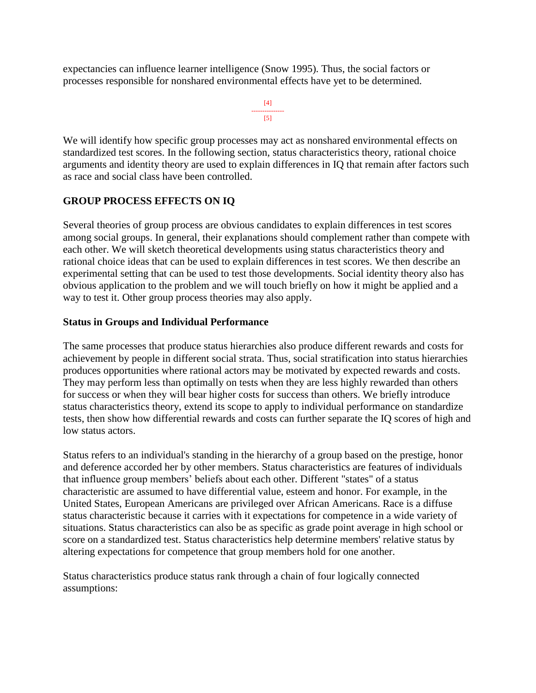expectancies can influence learner intelligence (Snow 1995). Thus, the social factors or processes responsible for nonshared environmental effects have yet to be determined.

```
[4]
---------------
      [5]
```
We will identify how specific group processes may act as nonshared environmental effects on standardized test scores. In the following section, status characteristics theory, rational choice arguments and identity theory are used to explain differences in IQ that remain after factors such as race and social class have been controlled.

# **GROUP PROCESS EFFECTS ON IQ**

Several theories of group process are obvious candidates to explain differences in test scores among social groups. In general, their explanations should complement rather than compete with each other. We will sketch theoretical developments using status characteristics theory and rational choice ideas that can be used to explain differences in test scores. We then describe an experimental setting that can be used to test those developments. Social identity theory also has obvious application to the problem and we will touch briefly on how it might be applied and a way to test it. Other group process theories may also apply.

## **Status in Groups and Individual Performance**

The same processes that produce status hierarchies also produce different rewards and costs for achievement by people in different social strata. Thus, social stratification into status hierarchies produces opportunities where rational actors may be motivated by expected rewards and costs. They may perform less than optimally on tests when they are less highly rewarded than others for success or when they will bear higher costs for success than others. We briefly introduce status characteristics theory, extend its scope to apply to individual performance on standardize tests, then show how differential rewards and costs can further separate the IQ scores of high and low status actors.

Status refers to an individual's standing in the hierarchy of a group based on the prestige, honor and deference accorded her by other members. Status characteristics are features of individuals that influence group members' beliefs about each other. Different "states" of a status characteristic are assumed to have differential value, esteem and honor. For example, in the United States, European Americans are privileged over African Americans. Race is a diffuse status characteristic because it carries with it expectations for competence in a wide variety of situations. Status characteristics can also be as specific as grade point average in high school or score on a standardized test. Status characteristics help determine members' relative status by altering expectations for competence that group members hold for one another.

Status characteristics produce status rank through a chain of four logically connected assumptions: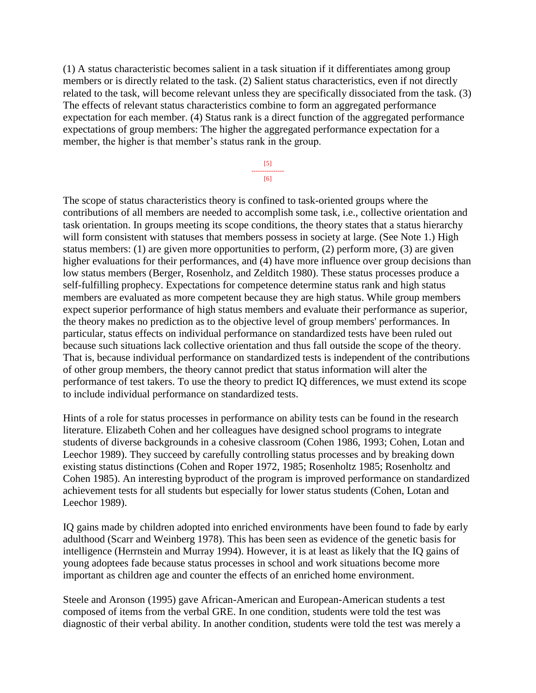(1) A status characteristic becomes salient in a task situation if it differentiates among group members or is directly related to the task. (2) Salient status characteristics, even if not directly related to the task, will become relevant unless they are specifically dissociated from the task. (3) The effects of relevant status characteristics combine to form an aggregated performance expectation for each member. (4) Status rank is a direct function of the aggregated performance expectations of group members: The higher the aggregated performance expectation for a member, the higher is that member's status rank in the group.

> [5] --------------- [6]

The scope of status characteristics theory is confined to task-oriented groups where the contributions of all members are needed to accomplish some task, i.e., collective orientation and task orientation. In groups meeting its scope conditions, the theory states that a status hierarchy will form consistent with statuses that members possess in society at large. (See Note 1.) High status members: (1) are given more opportunities to perform, (2) perform more, (3) are given higher evaluations for their performances, and (4) have more influence over group decisions than low status members (Berger, Rosenholz, and Zelditch 1980). These status processes produce a self-fulfilling prophecy. Expectations for competence determine status rank and high status members are evaluated as more competent because they are high status. While group members expect superior performance of high status members and evaluate their performance as superior, the theory makes no prediction as to the objective level of group members' performances. In particular, status effects on individual performance on standardized tests have been ruled out because such situations lack collective orientation and thus fall outside the scope of the theory. That is, because individual performance on standardized tests is independent of the contributions of other group members, the theory cannot predict that status information will alter the performance of test takers. To use the theory to predict IQ differences, we must extend its scope to include individual performance on standardized tests.

Hints of a role for status processes in performance on ability tests can be found in the research literature. Elizabeth Cohen and her colleagues have designed school programs to integrate students of diverse backgrounds in a cohesive classroom (Cohen 1986, 1993; Cohen, Lotan and Leechor 1989). They succeed by carefully controlling status processes and by breaking down existing status distinctions (Cohen and Roper 1972, 1985; Rosenholtz 1985; Rosenholtz and Cohen 1985). An interesting byproduct of the program is improved performance on standardized achievement tests for all students but especially for lower status students (Cohen, Lotan and Leechor 1989).

IQ gains made by children adopted into enriched environments have been found to fade by early adulthood (Scarr and Weinberg 1978). This has been seen as evidence of the genetic basis for intelligence (Herrnstein and Murray 1994). However, it is at least as likely that the IQ gains of young adoptees fade because status processes in school and work situations become more important as children age and counter the effects of an enriched home environment.

Steele and Aronson (1995) gave African-American and European-American students a test composed of items from the verbal GRE. In one condition, students were told the test was diagnostic of their verbal ability. In another condition, students were told the test was merely a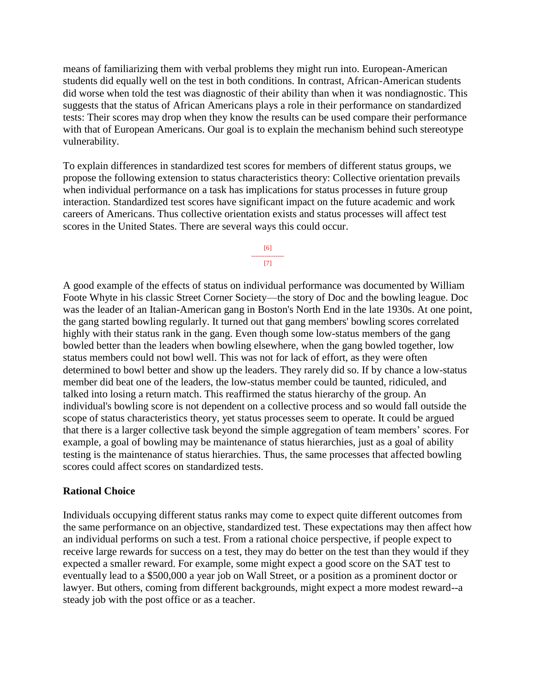means of familiarizing them with verbal problems they might run into. European-American students did equally well on the test in both conditions. In contrast, African-American students did worse when told the test was diagnostic of their ability than when it was nondiagnostic. This suggests that the status of African Americans plays a role in their performance on standardized tests: Their scores may drop when they know the results can be used compare their performance with that of European Americans. Our goal is to explain the mechanism behind such stereotype vulnerability.

To explain differences in standardized test scores for members of different status groups, we propose the following extension to status characteristics theory: Collective orientation prevails when individual performance on a task has implications for status processes in future group interaction. Standardized test scores have significant impact on the future academic and work careers of Americans. Thus collective orientation exists and status processes will affect test scores in the United States. There are several ways this could occur.

> [6] --------------- [7]

A good example of the effects of status on individual performance was documented by William Foote Whyte in his classic Street Corner Society—the story of Doc and the bowling league. Doc was the leader of an Italian-American gang in Boston's North End in the late 1930s. At one point, the gang started bowling regularly. It turned out that gang members' bowling scores correlated highly with their status rank in the gang. Even though some low-status members of the gang bowled better than the leaders when bowling elsewhere, when the gang bowled together, low status members could not bowl well. This was not for lack of effort, as they were often determined to bowl better and show up the leaders. They rarely did so. If by chance a low-status member did beat one of the leaders, the low-status member could be taunted, ridiculed, and talked into losing a return match. This reaffirmed the status hierarchy of the group. An individual's bowling score is not dependent on a collective process and so would fall outside the scope of status characteristics theory, yet status processes seem to operate. It could be argued that there is a larger collective task beyond the simple aggregation of team members' scores. For example, a goal of bowling may be maintenance of status hierarchies, just as a goal of ability testing is the maintenance of status hierarchies. Thus, the same processes that affected bowling scores could affect scores on standardized tests.

### **Rational Choice**

Individuals occupying different status ranks may come to expect quite different outcomes from the same performance on an objective, standardized test. These expectations may then affect how an individual performs on such a test. From a rational choice perspective, if people expect to receive large rewards for success on a test, they may do better on the test than they would if they expected a smaller reward. For example, some might expect a good score on the SAT test to eventually lead to a \$500,000 a year job on Wall Street, or a position as a prominent doctor or lawyer. But others, coming from different backgrounds, might expect a more modest reward--a steady job with the post office or as a teacher.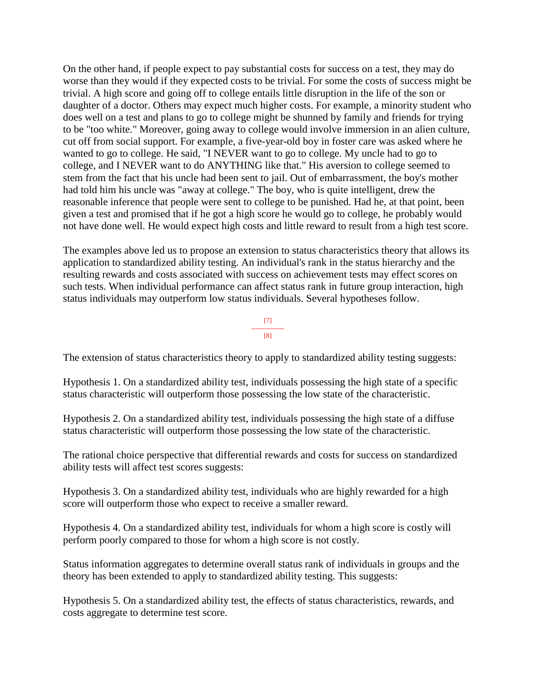On the other hand, if people expect to pay substantial costs for success on a test, they may do worse than they would if they expected costs to be trivial. For some the costs of success might be trivial. A high score and going off to college entails little disruption in the life of the son or daughter of a doctor. Others may expect much higher costs. For example, a minority student who does well on a test and plans to go to college might be shunned by family and friends for trying to be "too white." Moreover, going away to college would involve immersion in an alien culture, cut off from social support. For example, a five-year-old boy in foster care was asked where he wanted to go to college. He said, "I NEVER want to go to college. My uncle had to go to college, and I NEVER want to do ANYTHING like that." His aversion to college seemed to stem from the fact that his uncle had been sent to jail. Out of embarrassment, the boy's mother had told him his uncle was "away at college." The boy, who is quite intelligent, drew the reasonable inference that people were sent to college to be punished. Had he, at that point, been given a test and promised that if he got a high score he would go to college, he probably would not have done well. He would expect high costs and little reward to result from a high test score.

The examples above led us to propose an extension to status characteristics theory that allows its application to standardized ability testing. An individual's rank in the status hierarchy and the resulting rewards and costs associated with success on achievement tests may effect scores on such tests. When individual performance can affect status rank in future group interaction, high status individuals may outperform low status individuals. Several hypotheses follow.

> [7] --------------- [8]

The extension of status characteristics theory to apply to standardized ability testing suggests:

Hypothesis 1. On a standardized ability test, individuals possessing the high state of a specific status characteristic will outperform those possessing the low state of the characteristic.

Hypothesis 2. On a standardized ability test, individuals possessing the high state of a diffuse status characteristic will outperform those possessing the low state of the characteristic.

The rational choice perspective that differential rewards and costs for success on standardized ability tests will affect test scores suggests:

Hypothesis 3. On a standardized ability test, individuals who are highly rewarded for a high score will outperform those who expect to receive a smaller reward.

Hypothesis 4. On a standardized ability test, individuals for whom a high score is costly will perform poorly compared to those for whom a high score is not costly.

Status information aggregates to determine overall status rank of individuals in groups and the theory has been extended to apply to standardized ability testing. This suggests:

Hypothesis 5. On a standardized ability test, the effects of status characteristics, rewards, and costs aggregate to determine test score.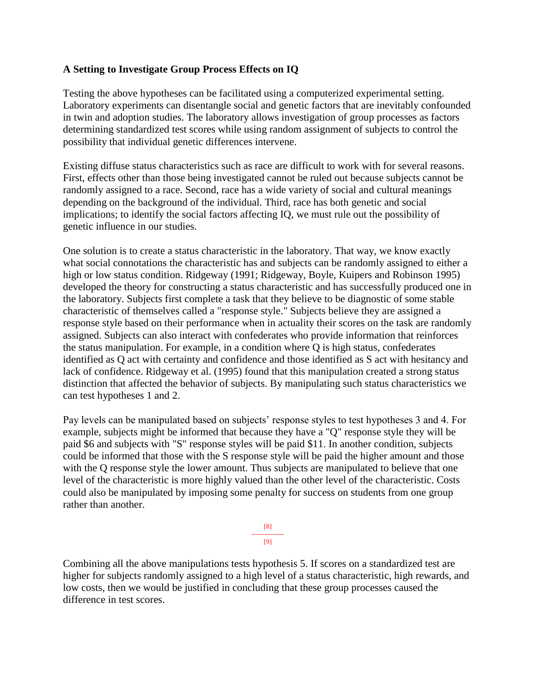## **A Setting to Investigate Group Process Effects on IQ**

Testing the above hypotheses can be facilitated using a computerized experimental setting. Laboratory experiments can disentangle social and genetic factors that are inevitably confounded in twin and adoption studies. The laboratory allows investigation of group processes as factors determining standardized test scores while using random assignment of subjects to control the possibility that individual genetic differences intervene.

Existing diffuse status characteristics such as race are difficult to work with for several reasons. First, effects other than those being investigated cannot be ruled out because subjects cannot be randomly assigned to a race. Second, race has a wide variety of social and cultural meanings depending on the background of the individual. Third, race has both genetic and social implications; to identify the social factors affecting IQ, we must rule out the possibility of genetic influence in our studies.

One solution is to create a status characteristic in the laboratory. That way, we know exactly what social connotations the characteristic has and subjects can be randomly assigned to either a high or low status condition. Ridgeway (1991; Ridgeway, Boyle, Kuipers and Robinson 1995) developed the theory for constructing a status characteristic and has successfully produced one in the laboratory. Subjects first complete a task that they believe to be diagnostic of some stable characteristic of themselves called a "response style." Subjects believe they are assigned a response style based on their performance when in actuality their scores on the task are randomly assigned. Subjects can also interact with confederates who provide information that reinforces the status manipulation. For example, in a condition where Q is high status, confederates identified as Q act with certainty and confidence and those identified as S act with hesitancy and lack of confidence. Ridgeway et al. (1995) found that this manipulation created a strong status distinction that affected the behavior of subjects. By manipulating such status characteristics we can test hypotheses 1 and 2.

Pay levels can be manipulated based on subjects' response styles to test hypotheses 3 and 4. For example, subjects might be informed that because they have a "Q" response style they will be paid \$6 and subjects with "S" response styles will be paid \$11. In another condition, subjects could be informed that those with the S response style will be paid the higher amount and those with the Q response style the lower amount. Thus subjects are manipulated to believe that one level of the characteristic is more highly valued than the other level of the characteristic. Costs could also be manipulated by imposing some penalty for success on students from one group rather than another.



Combining all the above manipulations tests hypothesis 5. If scores on a standardized test are higher for subjects randomly assigned to a high level of a status characteristic, high rewards, and low costs, then we would be justified in concluding that these group processes caused the difference in test scores.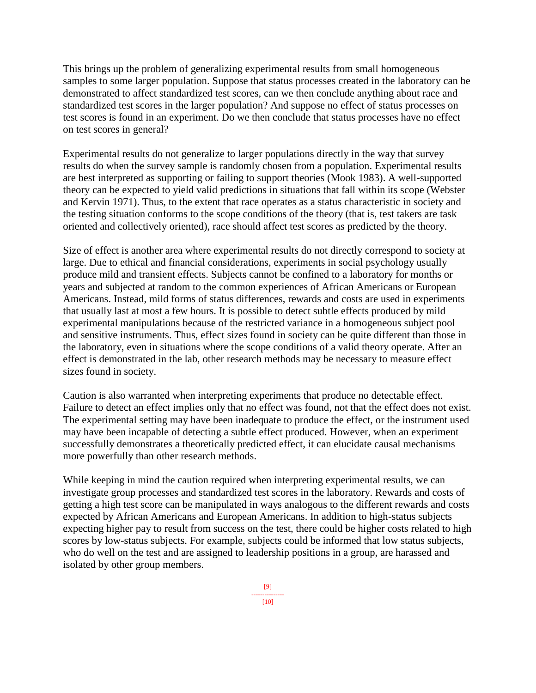This brings up the problem of generalizing experimental results from small homogeneous samples to some larger population. Suppose that status processes created in the laboratory can be demonstrated to affect standardized test scores, can we then conclude anything about race and standardized test scores in the larger population? And suppose no effect of status processes on test scores is found in an experiment. Do we then conclude that status processes have no effect on test scores in general?

Experimental results do not generalize to larger populations directly in the way that survey results do when the survey sample is randomly chosen from a population. Experimental results are best interpreted as supporting or failing to support theories (Mook 1983). A well-supported theory can be expected to yield valid predictions in situations that fall within its scope (Webster and Kervin 1971). Thus, to the extent that race operates as a status characteristic in society and the testing situation conforms to the scope conditions of the theory (that is, test takers are task oriented and collectively oriented), race should affect test scores as predicted by the theory.

Size of effect is another area where experimental results do not directly correspond to society at large. Due to ethical and financial considerations, experiments in social psychology usually produce mild and transient effects. Subjects cannot be confined to a laboratory for months or years and subjected at random to the common experiences of African Americans or European Americans. Instead, mild forms of status differences, rewards and costs are used in experiments that usually last at most a few hours. It is possible to detect subtle effects produced by mild experimental manipulations because of the restricted variance in a homogeneous subject pool and sensitive instruments. Thus, effect sizes found in society can be quite different than those in the laboratory, even in situations where the scope conditions of a valid theory operate. After an effect is demonstrated in the lab, other research methods may be necessary to measure effect sizes found in society.

Caution is also warranted when interpreting experiments that produce no detectable effect. Failure to detect an effect implies only that no effect was found, not that the effect does not exist. The experimental setting may have been inadequate to produce the effect, or the instrument used may have been incapable of detecting a subtle effect produced. However, when an experiment successfully demonstrates a theoretically predicted effect, it can elucidate causal mechanisms more powerfully than other research methods.

While keeping in mind the caution required when interpreting experimental results, we can investigate group processes and standardized test scores in the laboratory. Rewards and costs of getting a high test score can be manipulated in ways analogous to the different rewards and costs expected by African Americans and European Americans. In addition to high-status subjects expecting higher pay to result from success on the test, there could be higher costs related to high scores by low-status subjects. For example, subjects could be informed that low status subjects, who do well on the test and are assigned to leadership positions in a group, are harassed and isolated by other group members.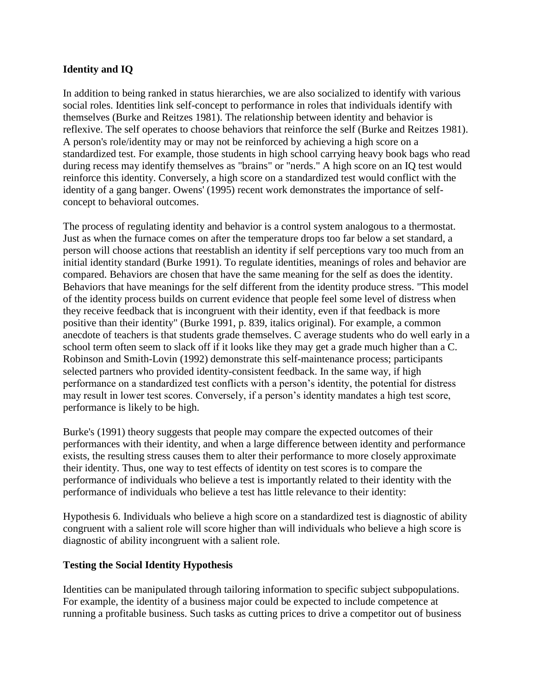## **Identity and IQ**

In addition to being ranked in status hierarchies, we are also socialized to identify with various social roles. Identities link self-concept to performance in roles that individuals identify with themselves (Burke and Reitzes 1981). The relationship between identity and behavior is reflexive. The self operates to choose behaviors that reinforce the self (Burke and Reitzes 1981). A person's role/identity may or may not be reinforced by achieving a high score on a standardized test. For example, those students in high school carrying heavy book bags who read during recess may identify themselves as "brains" or "nerds." A high score on an IQ test would reinforce this identity. Conversely, a high score on a standardized test would conflict with the identity of a gang banger. Owens' (1995) recent work demonstrates the importance of selfconcept to behavioral outcomes.

The process of regulating identity and behavior is a control system analogous to a thermostat. Just as when the furnace comes on after the temperature drops too far below a set standard, a person will choose actions that reestablish an identity if self perceptions vary too much from an initial identity standard (Burke 1991). To regulate identities, meanings of roles and behavior are compared. Behaviors are chosen that have the same meaning for the self as does the identity. Behaviors that have meanings for the self different from the identity produce stress. "This model of the identity process builds on current evidence that people feel some level of distress when they receive feedback that is incongruent with their identity, even if that feedback is more positive than their identity" (Burke 1991, p. 839, italics original). For example, a common anecdote of teachers is that students grade themselves. C average students who do well early in a school term often seem to slack off if it looks like they may get a grade much higher than a C. Robinson and Smith-Lovin (1992) demonstrate this self-maintenance process; participants selected partners who provided identity-consistent feedback. In the same way, if high performance on a standardized test conflicts with a person's identity, the potential for distress may result in lower test scores. Conversely, if a person's identity mandates a high test score, performance is likely to be high.

Burke's (1991) theory suggests that people may compare the expected outcomes of their performances with their identity, and when a large difference between identity and performance exists, the resulting stress causes them to alter their performance to more closely approximate their identity. Thus, one way to test effects of identity on test scores is to compare the performance of individuals who believe a test is importantly related to their identity with the performance of individuals who believe a test has little relevance to their identity:

Hypothesis 6. Individuals who believe a high score on a standardized test is diagnostic of ability congruent with a salient role will score higher than will individuals who believe a high score is diagnostic of ability incongruent with a salient role.

## **Testing the Social Identity Hypothesis**

Identities can be manipulated through tailoring information to specific subject subpopulations. For example, the identity of a business major could be expected to include competence at running a profitable business. Such tasks as cutting prices to drive a competitor out of business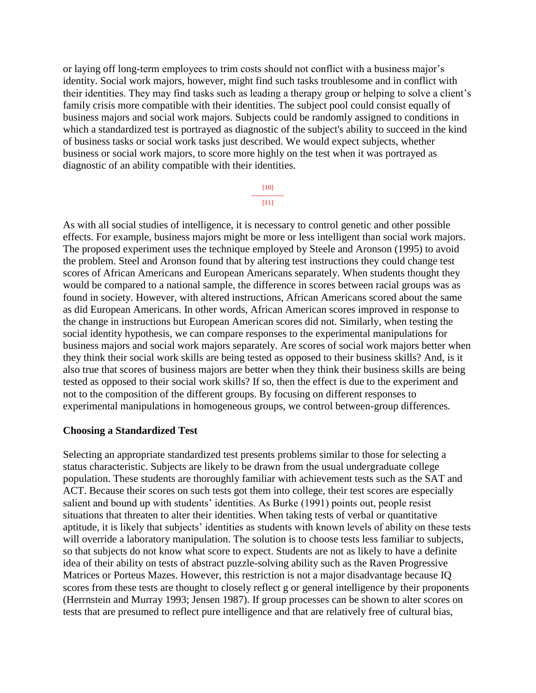or laying off long-term employees to trim costs should not conflict with a business major's identity. Social work majors, however, might find such tasks troublesome and in conflict with their identities. They may find tasks such as leading a therapy group or helping to solve a client's family crisis more compatible with their identities. The subject pool could consist equally of business majors and social work majors. Subjects could be randomly assigned to conditions in which a standardized test is portrayed as diagnostic of the subject's ability to succeed in the kind of business tasks or social work tasks just described. We would expect subjects, whether business or social work majors, to score more highly on the test when it was portrayed as diagnostic of an ability compatible with their identities.

> [10] --------------- [11]

As with all social studies of intelligence, it is necessary to control genetic and other possible effects. For example, business majors might be more or less intelligent than social work majors. The proposed experiment uses the technique employed by Steele and Aronson (1995) to avoid the problem. Steel and Aronson found that by altering test instructions they could change test scores of African Americans and European Americans separately. When students thought they would be compared to a national sample, the difference in scores between racial groups was as found in society. However, with altered instructions, African Americans scored about the same as did European Americans. In other words, African American scores improved in response to the change in instructions but European American scores did not. Similarly, when testing the social identity hypothesis, we can compare responses to the experimental manipulations for business majors and social work majors separately. Are scores of social work majors better when they think their social work skills are being tested as opposed to their business skills? And, is it also true that scores of business majors are better when they think their business skills are being tested as opposed to their social work skills? If so, then the effect is due to the experiment and not to the composition of the different groups. By focusing on different responses to experimental manipulations in homogeneous groups, we control between-group differences.

#### **Choosing a Standardized Test**

Selecting an appropriate standardized test presents problems similar to those for selecting a status characteristic. Subjects are likely to be drawn from the usual undergraduate college population. These students are thoroughly familiar with achievement tests such as the SAT and ACT. Because their scores on such tests got them into college, their test scores are especially salient and bound up with students' identities. As Burke (1991) points out, people resist situations that threaten to alter their identities. When taking tests of verbal or quantitative aptitude, it is likely that subjects' identities as students with known levels of ability on these tests will override a laboratory manipulation. The solution is to choose tests less familiar to subjects, so that subjects do not know what score to expect. Students are not as likely to have a definite idea of their ability on tests of abstract puzzle-solving ability such as the Raven Progressive Matrices or Porteus Mazes. However, this restriction is not a major disadvantage because IQ scores from these tests are thought to closely reflect g or general intelligence by their proponents (Herrnstein and Murray 1993; Jensen 1987). If group processes can be shown to alter scores on tests that are presumed to reflect pure intelligence and that are relatively free of cultural bias,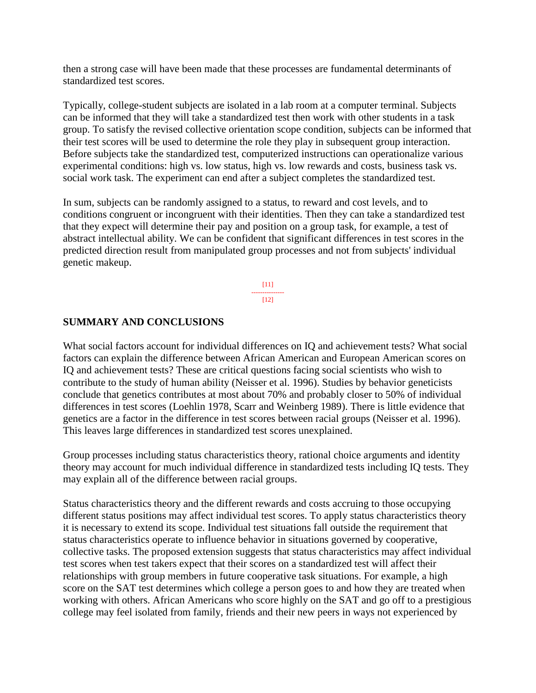then a strong case will have been made that these processes are fundamental determinants of standardized test scores.

Typically, college-student subjects are isolated in a lab room at a computer terminal. Subjects can be informed that they will take a standardized test then work with other students in a task group. To satisfy the revised collective orientation scope condition, subjects can be informed that their test scores will be used to determine the role they play in subsequent group interaction. Before subjects take the standardized test, computerized instructions can operationalize various experimental conditions: high vs. low status, high vs. low rewards and costs, business task vs. social work task. The experiment can end after a subject completes the standardized test.

In sum, subjects can be randomly assigned to a status, to reward and cost levels, and to conditions congruent or incongruent with their identities. Then they can take a standardized test that they expect will determine their pay and position on a group task, for example, a test of abstract intellectual ability. We can be confident that significant differences in test scores in the predicted direction result from manipulated group processes and not from subjects' individual genetic makeup.

> $[11]$ ---------------  $[12]$

## **SUMMARY AND CONCLUSIONS**

What social factors account for individual differences on IQ and achievement tests? What social factors can explain the difference between African American and European American scores on IQ and achievement tests? These are critical questions facing social scientists who wish to contribute to the study of human ability (Neisser et al. 1996). Studies by behavior geneticists conclude that genetics contributes at most about 70% and probably closer to 50% of individual differences in test scores (Loehlin 1978, Scarr and Weinberg 1989). There is little evidence that genetics are a factor in the difference in test scores between racial groups (Neisser et al. 1996). This leaves large differences in standardized test scores unexplained.

Group processes including status characteristics theory, rational choice arguments and identity theory may account for much individual difference in standardized tests including IQ tests. They may explain all of the difference between racial groups.

Status characteristics theory and the different rewards and costs accruing to those occupying different status positions may affect individual test scores. To apply status characteristics theory it is necessary to extend its scope. Individual test situations fall outside the requirement that status characteristics operate to influence behavior in situations governed by cooperative, collective tasks. The proposed extension suggests that status characteristics may affect individual test scores when test takers expect that their scores on a standardized test will affect their relationships with group members in future cooperative task situations. For example, a high score on the SAT test determines which college a person goes to and how they are treated when working with others. African Americans who score highly on the SAT and go off to a prestigious college may feel isolated from family, friends and their new peers in ways not experienced by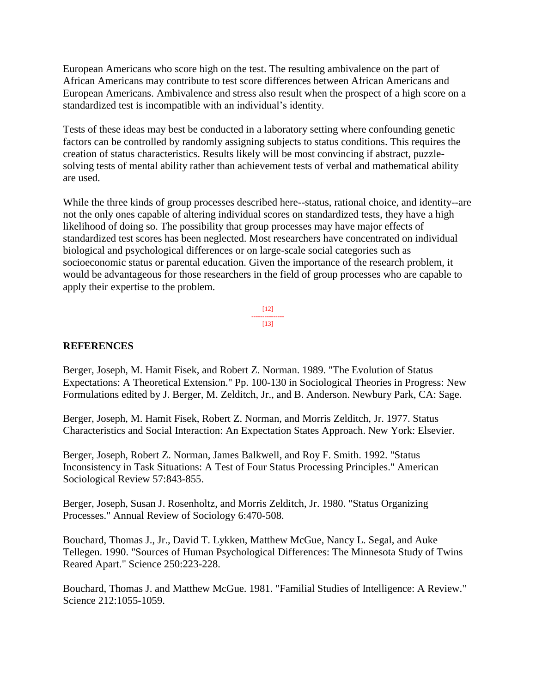European Americans who score high on the test. The resulting ambivalence on the part of African Americans may contribute to test score differences between African Americans and European Americans. Ambivalence and stress also result when the prospect of a high score on a standardized test is incompatible with an individual's identity.

Tests of these ideas may best be conducted in a laboratory setting where confounding genetic factors can be controlled by randomly assigning subjects to status conditions. This requires the creation of status characteristics. Results likely will be most convincing if abstract, puzzlesolving tests of mental ability rather than achievement tests of verbal and mathematical ability are used.

While the three kinds of group processes described here--status, rational choice, and identity--are not the only ones capable of altering individual scores on standardized tests, they have a high likelihood of doing so. The possibility that group processes may have major effects of standardized test scores has been neglected. Most researchers have concentrated on individual biological and psychological differences or on large-scale social categories such as socioeconomic status or parental education. Given the importance of the research problem, it would be advantageous for those researchers in the field of group processes who are capable to apply their expertise to the problem.



## **REFERENCES**

Berger, Joseph, M. Hamit Fisek, and Robert Z. Norman. 1989. "The Evolution of Status Expectations: A Theoretical Extension." Pp. 100-130 in Sociological Theories in Progress: New Formulations edited by J. Berger, M. Zelditch, Jr., and B. Anderson. Newbury Park, CA: Sage.

Berger, Joseph, M. Hamit Fisek, Robert Z. Norman, and Morris Zelditch, Jr. 1977. Status Characteristics and Social Interaction: An Expectation States Approach. New York: Elsevier.

Berger, Joseph, Robert Z. Norman, James Balkwell, and Roy F. Smith. 1992. "Status Inconsistency in Task Situations: A Test of Four Status Processing Principles." American Sociological Review 57:843-855.

Berger, Joseph, Susan J. Rosenholtz, and Morris Zelditch, Jr. 1980. "Status Organizing Processes." Annual Review of Sociology 6:470-508.

Bouchard, Thomas J., Jr., David T. Lykken, Matthew McGue, Nancy L. Segal, and Auke Tellegen. 1990. "Sources of Human Psychological Differences: The Minnesota Study of Twins Reared Apart." Science 250:223-228.

Bouchard, Thomas J. and Matthew McGue. 1981. "Familial Studies of Intelligence: A Review." Science 212:1055-1059.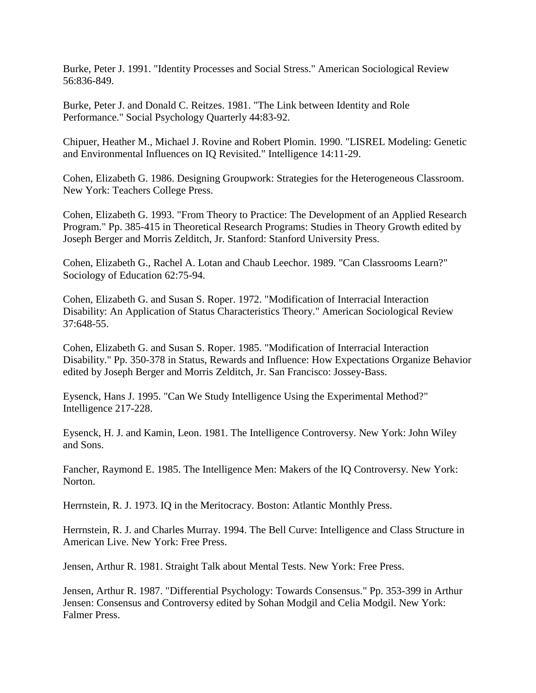Burke, Peter J. 1991. "Identity Processes and Social Stress." American Sociological Review 56:836-849.

Burke, Peter J. and Donald C. Reitzes. 1981. "The Link between Identity and Role Performance." Social Psychology Quarterly 44:83-92.

Chipuer, Heather M., Michael J. Rovine and Robert Plomin. 1990. "LISREL Modeling: Genetic and Environmental Influences on IQ Revisited." Intelligence 14:11-29.

Cohen, Elizabeth G. 1986. Designing Groupwork: Strategies for the Heterogeneous Classroom. New York: Teachers College Press.

Cohen, Elizabeth G. 1993. "From Theory to Practice: The Development of an Applied Research Program." Pp. 385-415 in Theoretical Research Programs: Studies in Theory Growth edited by Joseph Berger and Morris Zelditch, Jr. Stanford: Stanford University Press.

Cohen, Elizabeth G., Rachel A. Lotan and Chaub Leechor. 1989. "Can Classrooms Learn?" Sociology of Education 62:75-94.

Cohen, Elizabeth G. and Susan S. Roper. 1972. "Modification of Interracial Interaction Disability: An Application of Status Characteristics Theory." American Sociological Review 37:648-55.

Cohen, Elizabeth G. and Susan S. Roper. 1985. "Modification of Interracial Interaction Disability." Pp. 350-378 in Status, Rewards and Influence: How Expectations Organize Behavior edited by Joseph Berger and Morris Zelditch, Jr. San Francisco: Jossey-Bass.

Eysenck, Hans J. 1995. "Can We Study Intelligence Using the Experimental Method?" Intelligence 217-228.

Eysenck, H. J. and Kamin, Leon. 1981. The Intelligence Controversy. New York: John Wiley and Sons.

Fancher, Raymond E. 1985. The Intelligence Men: Makers of the IQ Controversy. New York: Norton.

Herrnstein, R. J. 1973. IQ in the Meritocracy. Boston: Atlantic Monthly Press.

Herrnstein, R. J. and Charles Murray. 1994. The Bell Curve: Intelligence and Class Structure in American Live. New York: Free Press.

Jensen, Arthur R. 1981. Straight Talk about Mental Tests. New York: Free Press.

Jensen, Arthur R. 1987. "Differential Psychology: Towards Consensus." Pp. 353-399 in Arthur Jensen: Consensus and Controversy edited by Sohan Modgil and Celia Modgil. New York: Falmer Press.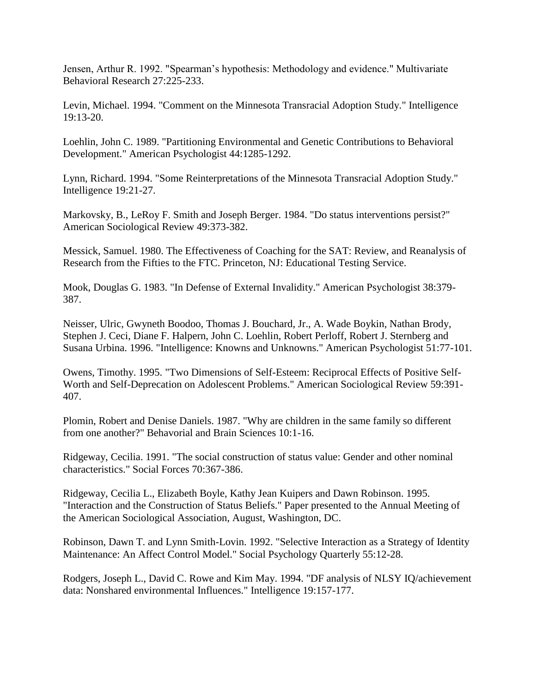Jensen, Arthur R. 1992. "Spearman's hypothesis: Methodology and evidence." Multivariate Behavioral Research 27:225-233.

Levin, Michael. 1994. "Comment on the Minnesota Transracial Adoption Study." Intelligence 19:13-20.

Loehlin, John C. 1989. "Partitioning Environmental and Genetic Contributions to Behavioral Development." American Psychologist 44:1285-1292.

Lynn, Richard. 1994. "Some Reinterpretations of the Minnesota Transracial Adoption Study." Intelligence 19:21-27.

Markovsky, B., LeRoy F. Smith and Joseph Berger. 1984. "Do status interventions persist?" American Sociological Review 49:373-382.

Messick, Samuel. 1980. The Effectiveness of Coaching for the SAT: Review, and Reanalysis of Research from the Fifties to the FTC. Princeton, NJ: Educational Testing Service.

Mook, Douglas G. 1983. "In Defense of External Invalidity." American Psychologist 38:379- 387.

Neisser, Ulric, Gwyneth Boodoo, Thomas J. Bouchard, Jr., A. Wade Boykin, Nathan Brody, Stephen J. Ceci, Diane F. Halpern, John C. Loehlin, Robert Perloff, Robert J. Sternberg and Susana Urbina. 1996. "Intelligence: Knowns and Unknowns." American Psychologist 51:77-101.

Owens, Timothy. 1995. "Two Dimensions of Self-Esteem: Reciprocal Effects of Positive Self-Worth and Self-Deprecation on Adolescent Problems." American Sociological Review 59:391- 407.

Plomin, Robert and Denise Daniels. 1987. "Why are children in the same family so different from one another?" Behavorial and Brain Sciences 10:1-16.

Ridgeway, Cecilia. 1991. "The social construction of status value: Gender and other nominal characteristics." Social Forces 70:367-386.

Ridgeway, Cecilia L., Elizabeth Boyle, Kathy Jean Kuipers and Dawn Robinson. 1995. "Interaction and the Construction of Status Beliefs." Paper presented to the Annual Meeting of the American Sociological Association, August, Washington, DC.

Robinson, Dawn T. and Lynn Smith-Lovin. 1992. "Selective Interaction as a Strategy of Identity Maintenance: An Affect Control Model." Social Psychology Quarterly 55:12-28.

Rodgers, Joseph L., David C. Rowe and Kim May. 1994. "DF analysis of NLSY IQ/achievement data: Nonshared environmental Influences." Intelligence 19:157-177.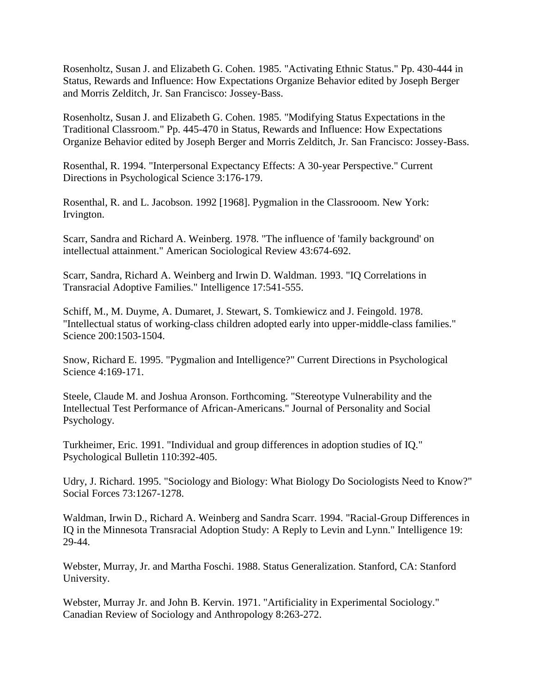Rosenholtz, Susan J. and Elizabeth G. Cohen. 1985. "Activating Ethnic Status." Pp. 430-444 in Status, Rewards and Influence: How Expectations Organize Behavior edited by Joseph Berger and Morris Zelditch, Jr. San Francisco: Jossey-Bass.

Rosenholtz, Susan J. and Elizabeth G. Cohen. 1985. "Modifying Status Expectations in the Traditional Classroom." Pp. 445-470 in Status, Rewards and Influence: How Expectations Organize Behavior edited by Joseph Berger and Morris Zelditch, Jr. San Francisco: Jossey-Bass.

Rosenthal, R. 1994. "Interpersonal Expectancy Effects: A 30-year Perspective." Current Directions in Psychological Science 3:176-179.

Rosenthal, R. and L. Jacobson. 1992 [1968]. Pygmalion in the Classrooom. New York: Irvington.

Scarr, Sandra and Richard A. Weinberg. 1978. "The influence of 'family background' on intellectual attainment." American Sociological Review 43:674-692.

Scarr, Sandra, Richard A. Weinberg and Irwin D. Waldman. 1993. "IQ Correlations in Transracial Adoptive Families." Intelligence 17:541-555.

Schiff, M., M. Duyme, A. Dumaret, J. Stewart, S. Tomkiewicz and J. Feingold. 1978. "Intellectual status of working-class children adopted early into upper-middle-class families." Science 200:1503-1504.

Snow, Richard E. 1995. "Pygmalion and Intelligence?" Current Directions in Psychological Science 4:169-171.

Steele, Claude M. and Joshua Aronson. Forthcoming. "Stereotype Vulnerability and the Intellectual Test Performance of African-Americans." Journal of Personality and Social Psychology.

Turkheimer, Eric. 1991. "Individual and group differences in adoption studies of IQ." Psychological Bulletin 110:392-405.

Udry, J. Richard. 1995. "Sociology and Biology: What Biology Do Sociologists Need to Know?" Social Forces 73:1267-1278.

Waldman, Irwin D., Richard A. Weinberg and Sandra Scarr. 1994. "Racial-Group Differences in IQ in the Minnesota Transracial Adoption Study: A Reply to Levin and Lynn." Intelligence 19: 29-44.

Webster, Murray, Jr. and Martha Foschi. 1988. Status Generalization. Stanford, CA: Stanford University.

Webster, Murray Jr. and John B. Kervin. 1971. "Artificiality in Experimental Sociology." Canadian Review of Sociology and Anthropology 8:263-272.